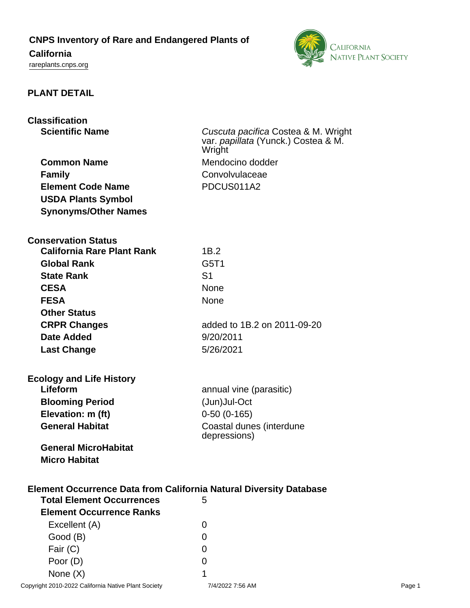**CNPS Inventory of Rare and Endangered Plants of**

# **California**

<rareplants.cnps.org>



#### **PLANT DETAIL**

# **Classification**

| <b>Common Name</b>          |
|-----------------------------|
| <b>Family</b>               |
| <b>Element Code Name</b>    |
| <b>USDA Plants Symbol</b>   |
| <b>Synonyms/Other Names</b> |

**Scientific Name** Cuscuta pacifica Costea & M. Wright var. papillata (Yunck.) Costea & M. Wright<sup>1</sup> **Mendocino dodder Family** Convolvulaceae **Element Code Name** PDCUS011A2

#### **Conservation Status**

| 1B.2                        |
|-----------------------------|
| G5T1                        |
| S1                          |
| <b>None</b>                 |
| <b>None</b>                 |
|                             |
| added to 1B.2 on 2011-09-20 |
| 9/20/2011                   |
| 5/26/2021                   |
|                             |
|                             |

## **Ecology and Life History Lifeform annual vine (parasitic) Blooming Period** (Jun)Jul-Oct

**Elevation: m (ft)** 0-50 (0-165) **General Habitat Coastal dunes (interdune** depressions)

**General MicroHabitat Micro Habitat**

#### **Element Occurrence Data from California Natural Diversity Database**

| <b>Total Element Occurrences</b> | 5             |
|----------------------------------|---------------|
| <b>Element Occurrence Ranks</b>  |               |
| Excellent (A)                    | $\mathcal{L}$ |
| Good (B)                         | O             |
| Fair (C)                         | O             |
| Poor (D)                         | ი             |
| None $(X)$                       | 1             |
|                                  | 71100007      |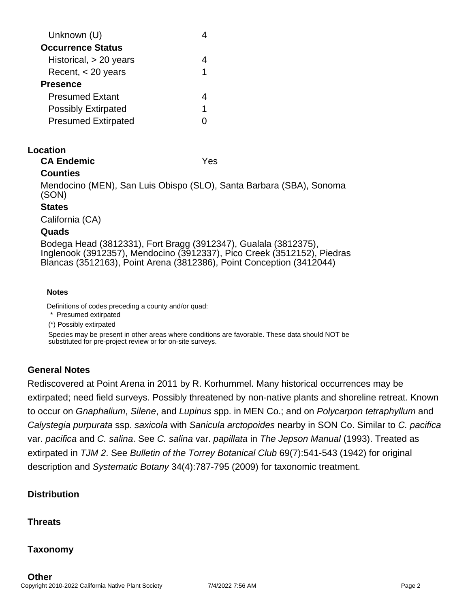| Unknown (U)                |   |
|----------------------------|---|
| <b>Occurrence Status</b>   |   |
| Historical, $> 20$ years   |   |
| Recent, < 20 years         | 1 |
| <b>Presence</b>            |   |
| <b>Presumed Extant</b>     |   |
| <b>Possibly Extirpated</b> | 1 |
| <b>Presumed Extirpated</b> |   |
|                            |   |

#### **Location**

**CA Endemic** Yes

### **Counties**

Mendocino (MEN), San Luis Obispo (SLO), Santa Barbara (SBA), Sonoma (SON)

#### **States**

California (CA)

#### **Quads**

Bodega Head (3812331), Fort Bragg (3912347), Gualala (3812375), Inglenook (3912357), Mendocino (3912337), Pico Creek (3512152), Piedras Blancas (3512163), Point Arena (3812386), Point Conception (3412044)

#### **Notes**

Definitions of codes preceding a county and/or quad:

\* Presumed extirpated

(\*) Possibly extirpated

Species may be present in other areas where conditions are favorable. These data should NOT be substituted for pre-project review or for on-site surveys.

### **General Notes**

Rediscovered at Point Arena in 2011 by R. Korhummel. Many historical occurrences may be extirpated; need field surveys. Possibly threatened by non-native plants and shoreline retreat. Known to occur on Gnaphalium, Silene, and Lupinus spp. in MEN Co.; and on Polycarpon tetraphyllum and Calystegia purpurata ssp. saxicola with Sanicula arctopoides nearby in SON Co. Similar to C. pacifica var. pacifica and C. salina. See C. salina var. papillata in The Jepson Manual (1993). Treated as extirpated in TJM 2. See Bulletin of the Torrey Botanical Club 69(7):541-543 (1942) for original description and Systematic Botany 34(4):787-795 (2009) for taxonomic treatment.

### **Distribution**

**Threats**

**Taxonomy**